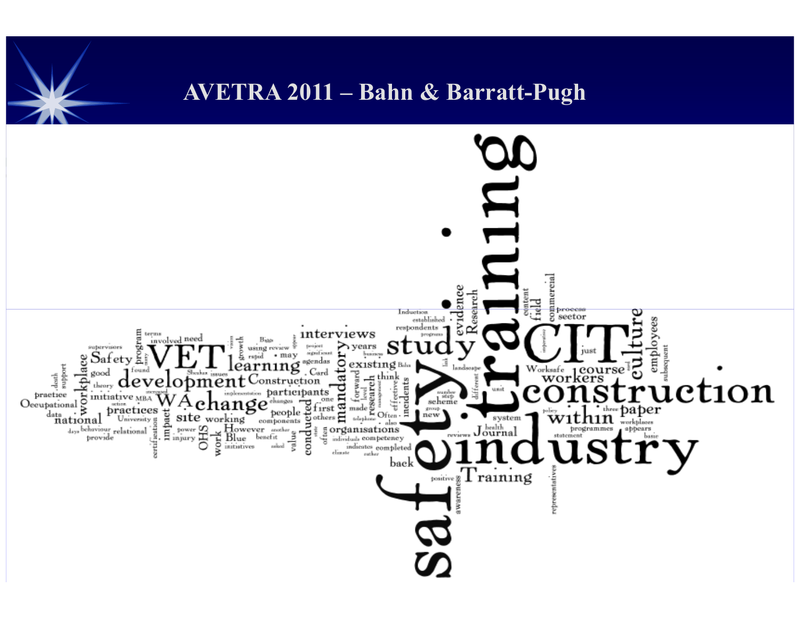### AVETRA 2011 – Bahn & Barratt-Pugh

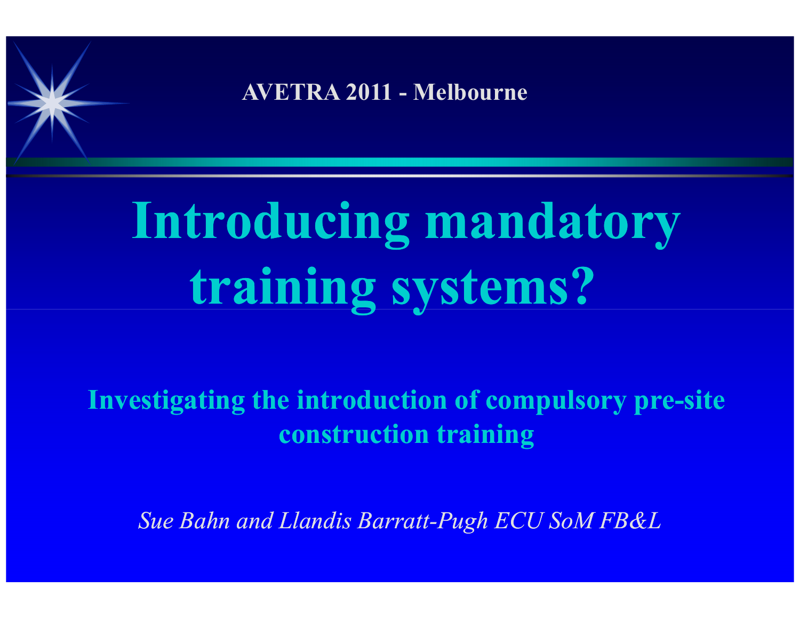AVETRA 2011 - Melbourne

# Introducing mandatory training systems?

Investigating the introduction of compulsory pre-site construction training

Sue Bahn and Llandis Barratt-Pugh ECU SoM FB&L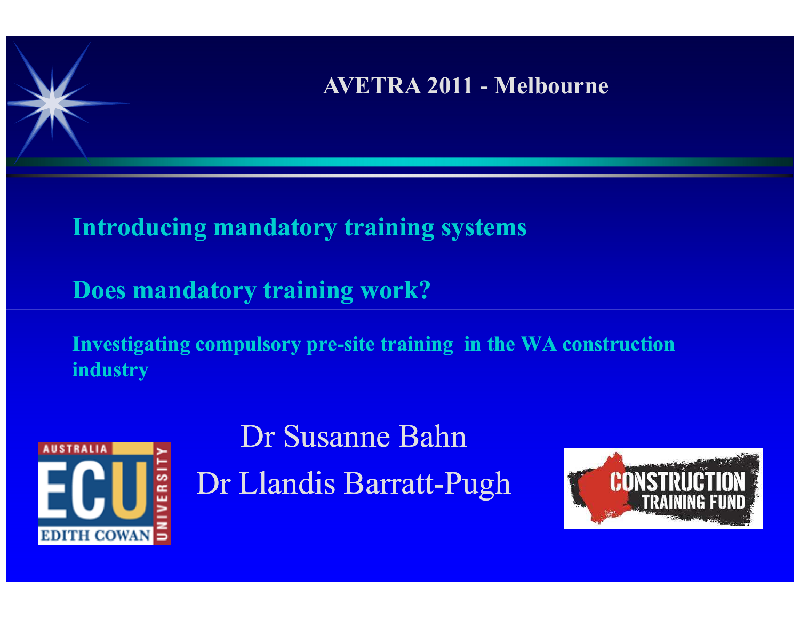### AVETRA 2011 - Melbourne

Introducing mandatory training systems

Does mandatory training work?

Investigating compulsory pre-site training in the WA construction industry



Dr Susanne BahnDr Llandis Barratt-Pugh

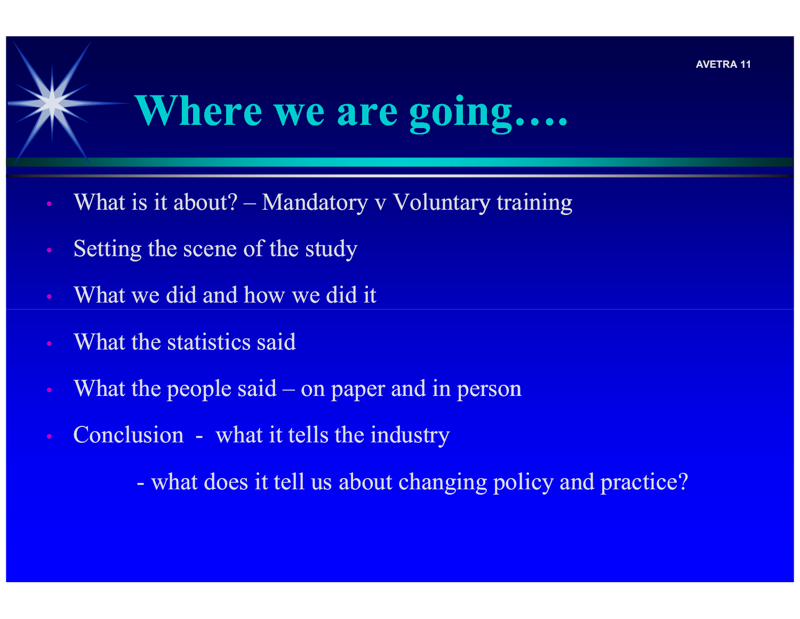

# Where we are going….

- What is it about?  $-$  Mandatory v Voluntary training
- Setting the scene of the study
- What we did and how we did it
- What the statistics said
- What the people said on paper and in person
- Conclusion what it tells the industry

what does it tell us about changing policy and practice?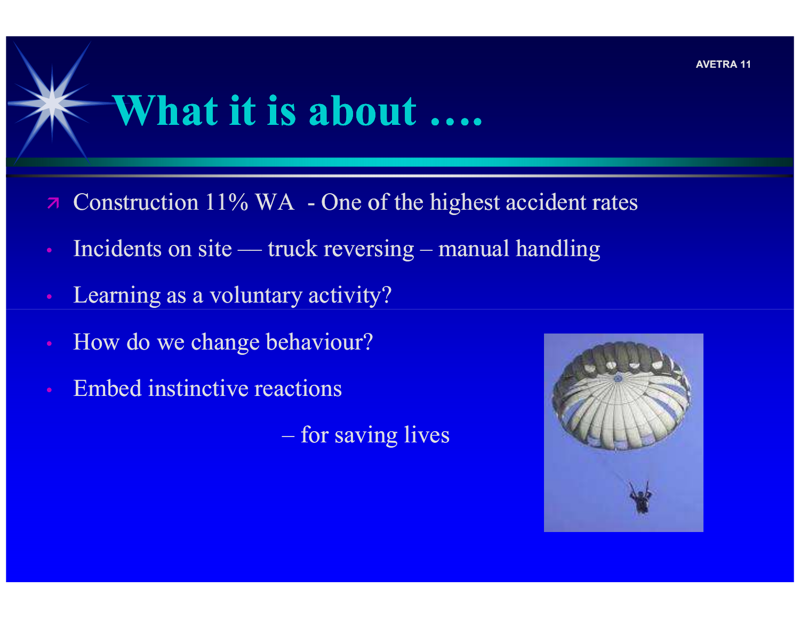# What it is about ….

- $7<sup>1</sup>$ Construction 11% WA - One of the highest accident rates
- Incidents on site truck reversing manual handling
- Learning as a voluntary activity?
- How do we change behaviour?
- Embed instinctive reactions

for saving lives

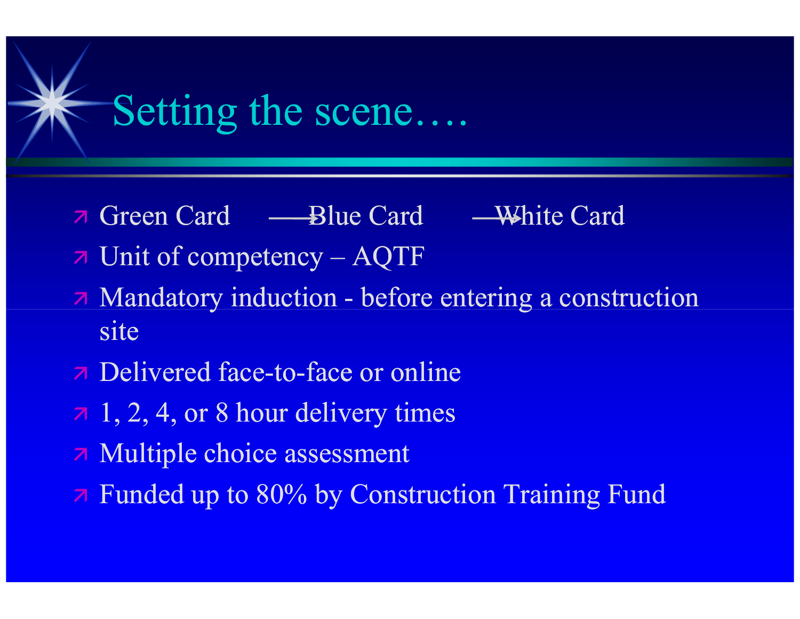### Setting the scene….

- $\overline{\mathbf{z}}$ Green Card — Blue Card — White Card
- Unit of competency AQTF
- Mandatory induction before entering a construction site
- **7** Delivered face-to-face or online
- $\pi$  1, 2, 4, or 8 hour delivery times
- Multiple choice assessment
- Funded up to 80% by Construction Training Fund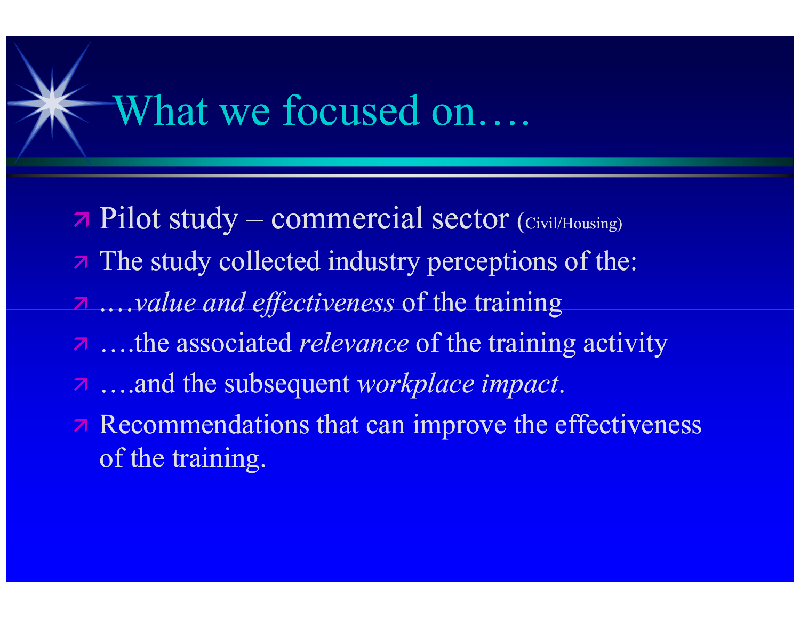### What we focused on….

- Pilot study commercial sector (Civil/Housing) The study collected industry perceptions of the: .…value and effectiveness of the training z ...the associated *relevance* of the training activity a ….and the subsequent workplace impact.
- **Recommendations that can improve the effectiveness** of the training.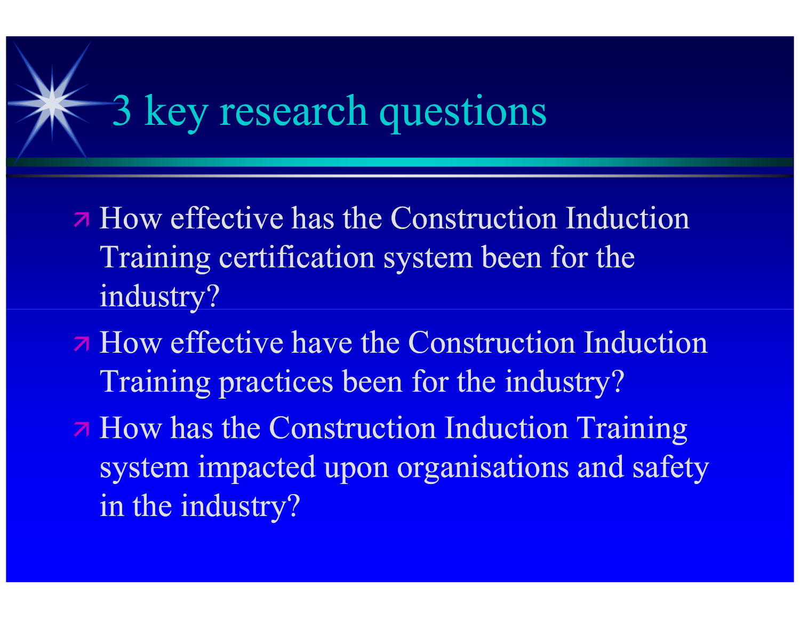# 3 key research questions

- **7 How effective has the Construction Induction** Training certification system been for the industry?
- **A** How effective have the Construction Induction Training practices been for the industry?
- How has the Construction Induction Training system impacted upon organisations and safety in the industry?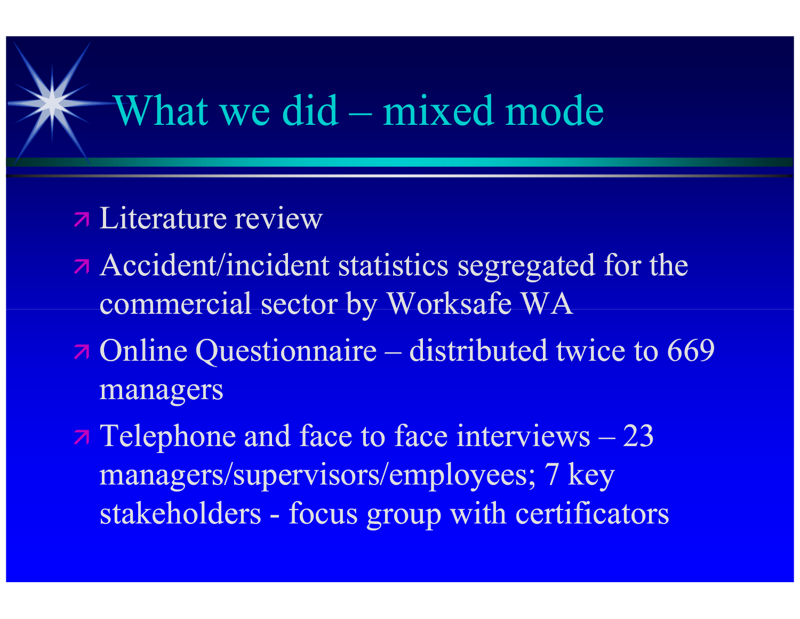### What we did – mixed mode

- Literature review
- Accident/incident statistics segregated for the commercial sector by Worksafe WA
- Online Questionnaire distributed twice to 669 to managers
- $\pi$  Telephone and face to face interviews  $-23$ managers/supervisors/employees; 7 key stakeholders - focus group with certificators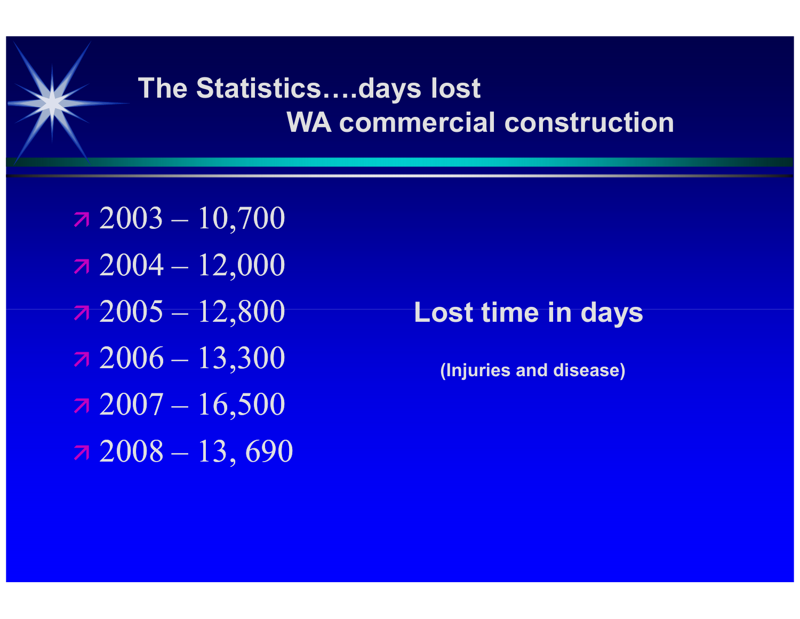### The Statistics….days lost WA commercial construction

- $72003 10,700$  $72004 - 12,000$  $72005 - 12,800$
- $72006 13,300$
- $72007 16,500$
- $72008 13,690$

### Lost time in days

(Injuries and disease)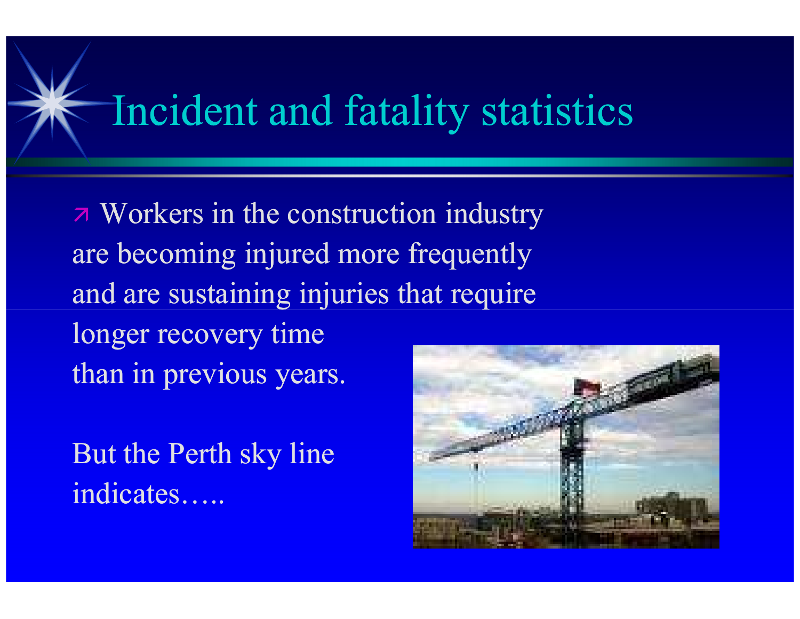# Incident and fatality statistics

 Workers in the construction industry are becoming injured more frequently and are sustaining injuries that require longer recovery time than in previous years.

But the Perth sky line indicates…..

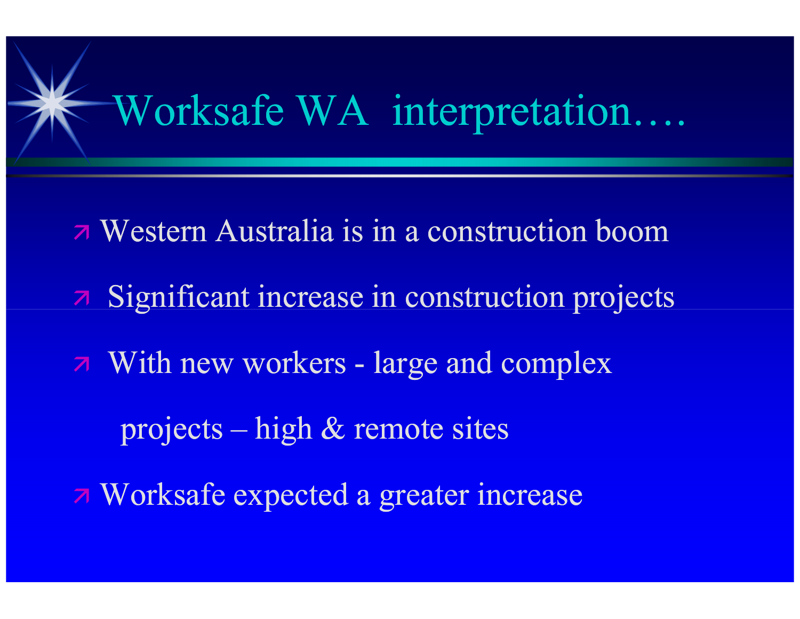# Worksafe WA interpretation….

- Western Australia is in a construction boom Significant increase in construction projects With new workers - large and complex projects – high & remote sites
- Worksafe expected a greater increase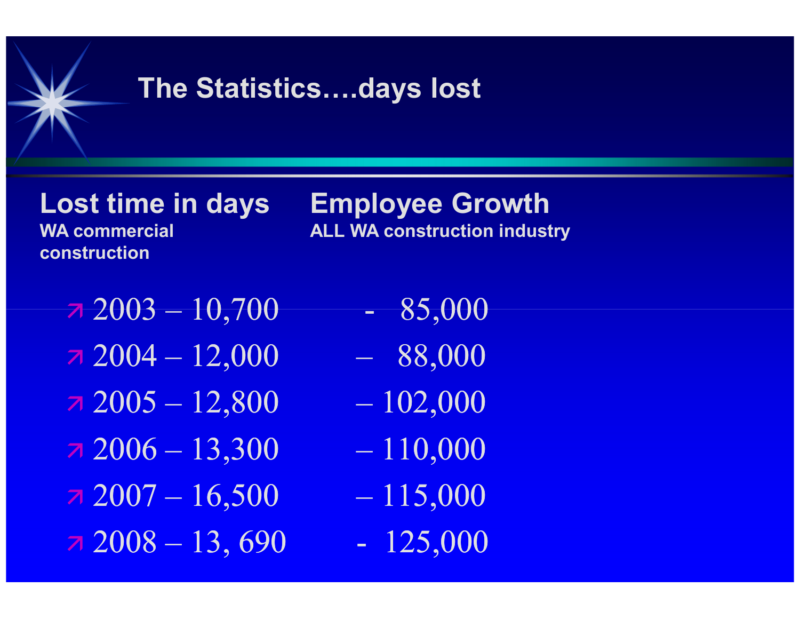### The Statistics….days lost

construction

### Lost time in days Employee GrowthWA commercial ALL WA construction industry

- $7\,2003 10,700$  85,000
- $7\,2004 12{,}000$   $88{,}000$
- $7\,2005 12,800$   $102,000$
- $72006 13,300 110,000$
- $72007 16,500 115,000$
- $72008 13,690$  125,000
- 
- 
- 
- 
- 
-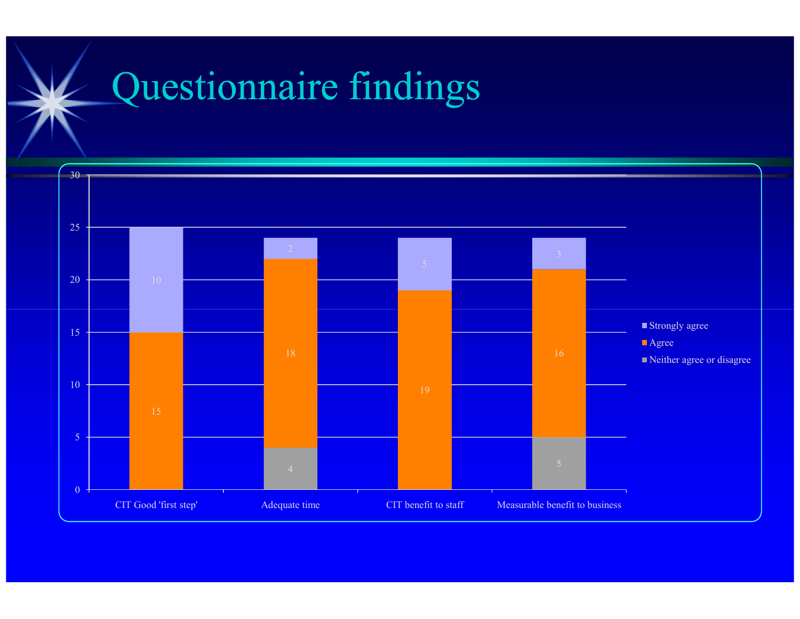# Questionnaire findings

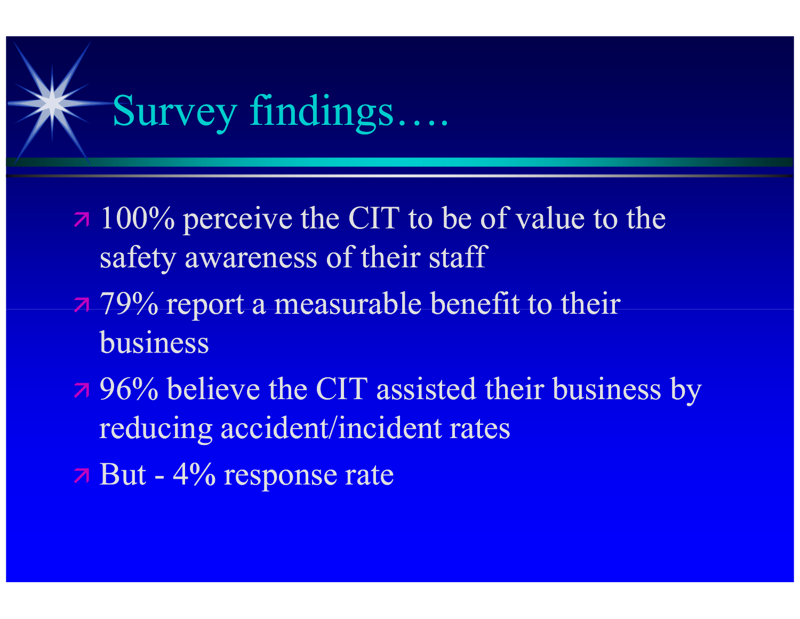# Survey findings….

- **100% perceive the CIT to be of value to the** safety awareness of their staff
- 79% report a measurable benefit to their business
- **7 96% believe the CIT assisted their business by** reducing accident/incident rates
- But 4% response rate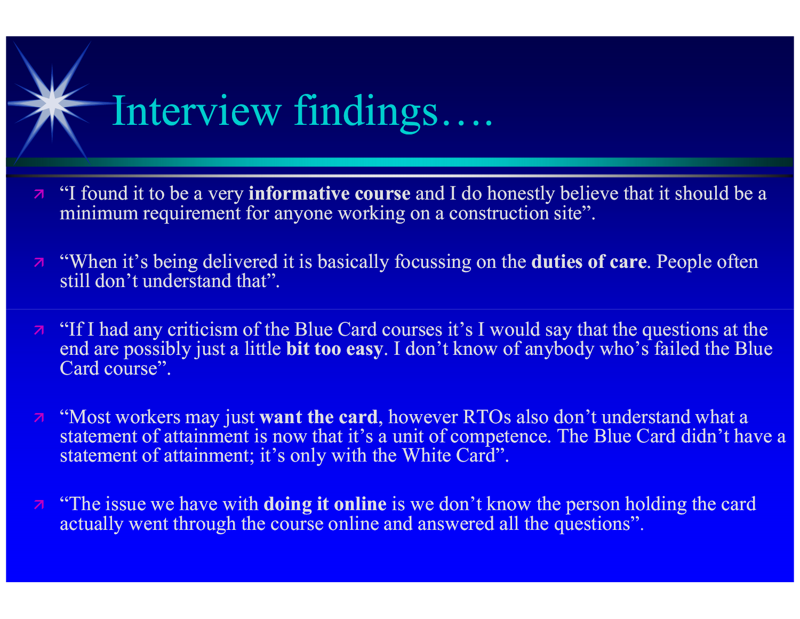# Interview findings….

- $\overline{a}$  "I found it to be a very **informative course** and I do honestly believe that it should be a minimum requirement for enverope weaking on a construction site." minimum requirement for anyone working on a construction site".
- $\overline{a}$  "When it's being delivered it is basically focussing on the **duties of care**. People often at  $\overline{a}$ still don't understand that".
- $\overline{a}$  "If I had any criticism of the Blue Card courses it's I would say that the questions at the  $\overline{a}$ end are possibly just a little bit too easy. I don't know of anybody who's failed the Blue Card course".
- $\overline{a}$  "Most workers may just **want the card**, however RTOs also don't understand what a statement of ottoinment is now that it's a write of accounting Dhys Gord didn't be statement of attainment is now that it's a unit of competence. The Blue Card didn't have a statement of attainment; it's only with the White Card".
- $\overline{a}$  "The issue we have with **doing it online** is we don't know the person holding the card actually went through the course online and answered all the questions".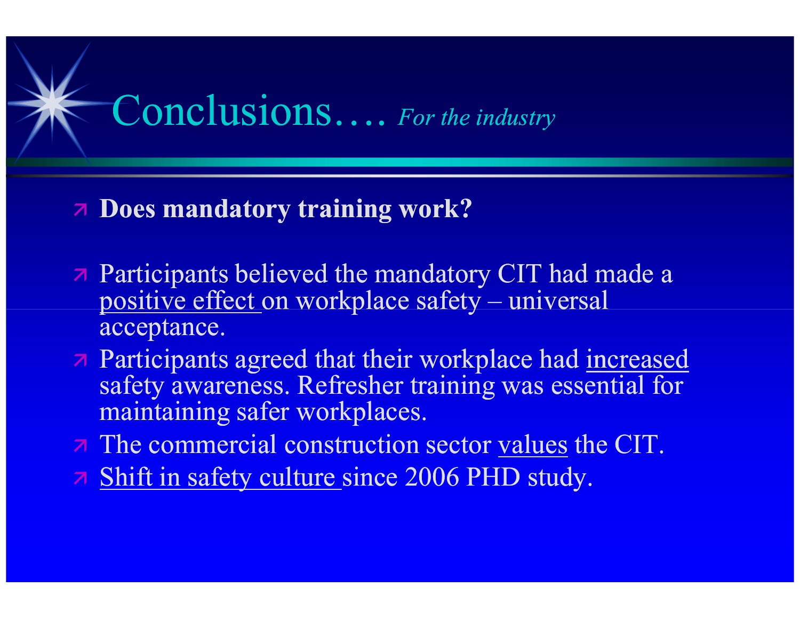### Conclusions.... For the industry

### Does mandatory training work?

- **Participants believed the mandatory CIT had made a** positive effect on workplace safety – universal acceptance.
- A Participants agreed that their workplace had increased safety awareness. Refresher training was essential for maintaining safer workplaces.
- 7 The commercial construction sector values the CIT.
- **7** Shift in safety culture since 2006 PHD study.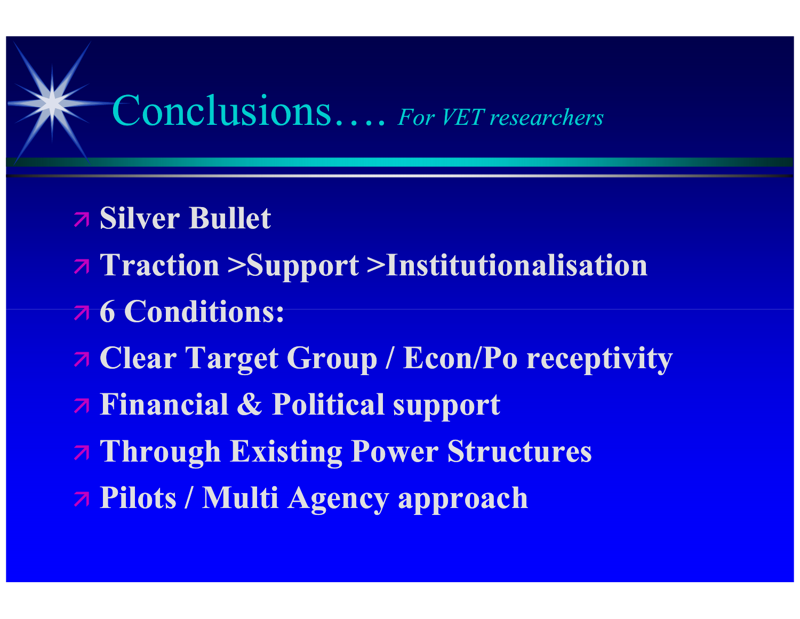### Conclusions…. For VET researchers

- Silver Bullet
- Traction >Support >Institutionalisation
- 6 Conditions:
- Clear Target Group / Econ/Po receptivity
- Financial & Political support
- Through Existing Power Structures
- Pilots / Multi Agency approach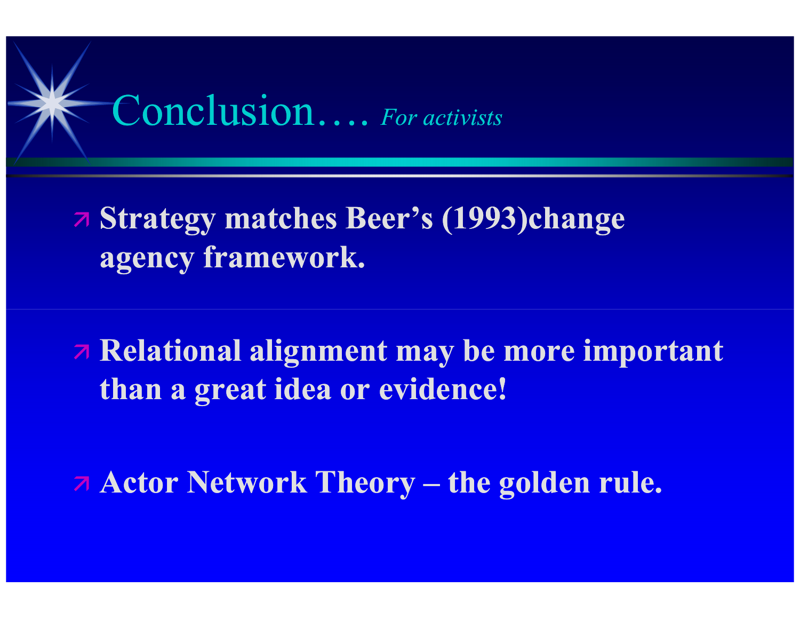# Conclusion…. For activists

 Strategy matches Beer's (1993)change agency framework.

 Relational alignment may be more important than a great idea or evidence!

Actor Network Theory – the golden rule.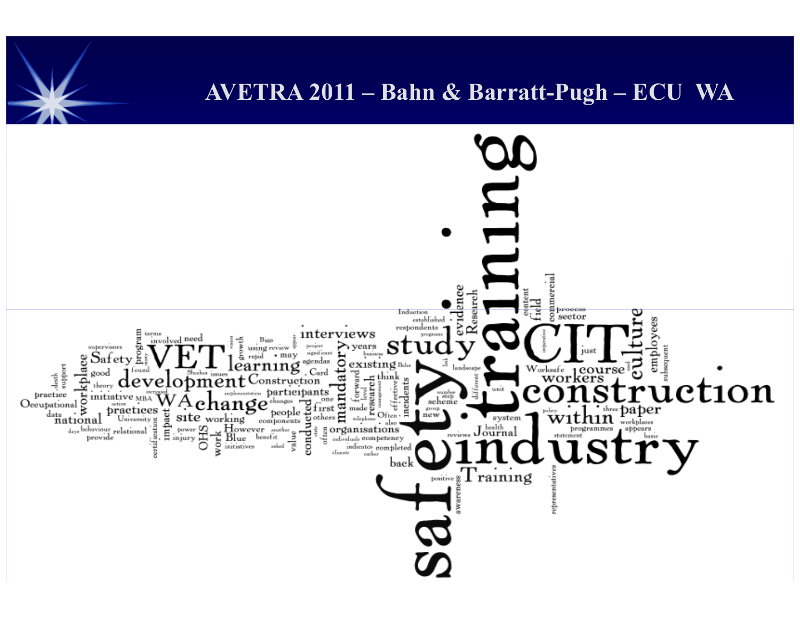### AVETRA 2011 – Bahn & Barratt-Pugh – ECU WA